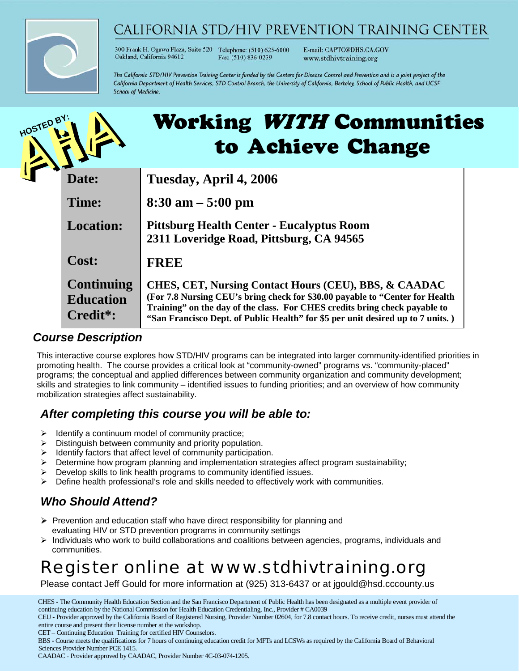

## CALIFORNIA STD/HIV PREVENTION TRAINING CENTER

300 Frank H. Ogawa Plaza, Suite 520 Telephone: (510) 625-6000 Oakland, California 94612 Fax: (510) 836-0239

E-mail: CAPTC@DHS.CA.GOV www.stdhivtraining.org

The California STD/HIV Prevention Training Center is funded by the Centers for Disease Control and Prevention and is a joint project of the California Department of Health Services, STD Control Branch, the University of California, Berkeley, School of Public Health, and UCSF **School of Medicine.** 

| HOSTED BY: | <b>Working WITH Communities</b><br>to Achieve Change |                                                                                                                                                                                                                                                                                                                   |  |
|------------|------------------------------------------------------|-------------------------------------------------------------------------------------------------------------------------------------------------------------------------------------------------------------------------------------------------------------------------------------------------------------------|--|
|            | Date:                                                | Tuesday, April 4, 2006                                                                                                                                                                                                                                                                                            |  |
|            | Time:                                                | $8:30$ am $-5:00$ pm                                                                                                                                                                                                                                                                                              |  |
|            | <b>Location:</b>                                     | <b>Pittsburg Health Center - Eucalyptus Room</b><br>2311 Loveridge Road, Pittsburg, CA 94565                                                                                                                                                                                                                      |  |
|            | Cost:                                                | <b>FREE</b>                                                                                                                                                                                                                                                                                                       |  |
|            | <b>Continuing</b><br><b>Education</b><br>Credit*:    | <b>CHES, CET, Nursing Contact Hours (CEU), BBS, &amp; CAADAC</b><br>(For 7.8 Nursing CEU's bring check for \$30.00 payable to "Center for Health<br>Training" on the day of the class. For CHES credits bring check payable to<br>"San Francisco Dept. of Public Health" for \$5 per unit desired up to 7 units.) |  |

#### *Course Description*

This interactive course explores how STD/HIV programs can be integrated into larger community-identified priorities in promoting health. The course provides a critical look at "community-owned" programs vs. "community-placed" programs; the conceptual and applied differences between community organization and community development; skills and strategies to link community – identified issues to funding priorities; and an overview of how community mobilization strategies affect sustainability.

#### *After completing this course you will be able to:*

- $\triangleright$  Identify a continuum model of community practice;
- $\triangleright$  Distinguish between community and priority population.
- $\blacktriangleright$  Identify factors that affect level of community participation.
- $\triangleright$  Determine how program planning and implementation strategies affect program sustainability;
- $\triangleright$  Develop skills to link health programs to community identified issues.
- Define health professional's role and skills needed to effectively work with communities.

### *Who Should Attend?*

- $\triangleright$  Prevention and education staff who have direct responsibility for planning and evaluating HIV or STD prevention programs in community settings
- Individuals who work to build collaborations and coalitions between agencies, programs, individuals and communities.

# *Register online at www.stdhivtraining.org*

Please contact Jeff Gould for more information at (925) 313-6437 or at jgould@hsd.cccounty.us

 CHES **-** The Community Health Education Section and the San Francisco Department of Public Health has been designated as a multiple event provider of continuing education by the National Commission for Health Education Credentialing, Inc., Provider # CA0039

CET – Continuing Education Training for certified HIV Counselors.

CAADAC **-** Provider approved by CAADAC, Provider Number 4C-03-074-1205.

CEU - Provider approved by the California Board of Registered Nursing, Provider Number 02604, for 7.8 contact hours. To receive credit, nurses must attend the entire course and present their license number at the workshop.

BBS **-** Course meets the qualifications for 7 hours of continuing education credit for MFTs and LCSWs as required by the California Board of Behavioral Sciences Provider Number PCE 1415.